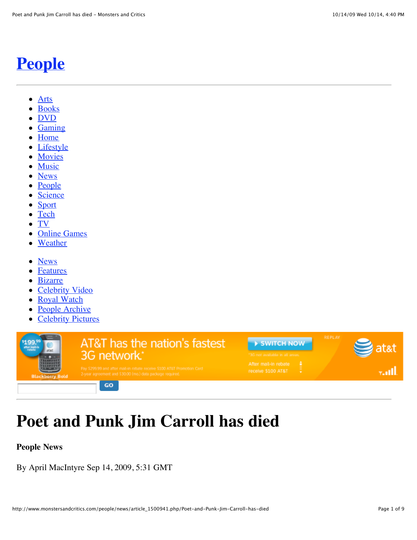# **[People](http://www.monstersandcritics.com/people)**

- [Arts](http://www.monstersandcritics.com/arts/)  $\bullet$
- [Books](http://www.monstersandcritics.com/books/)
- [DVD](http://www.monstersandcritics.com/dvd/)
- [Gaming](http://www.monstersandcritics.com/gaming/)
- [Home](http://www.monstersandcritics.com/)
- [Lifestyle](http://www.monstersandcritics.com/lifestyle/)
- [Movies](http://www.monstersandcritics.com/movies/)
- [Music](http://www.monstersandcritics.com/music/)
- [News](http://www.monstersandcritics.com/news/)
- [People](http://www.monstersandcritics.com/people/)
- [Science](http://www.monstersandcritics.com/science/)
- [Sport](http://www.monstersandcritics.com/sport/)  $\bullet$
- [Tech](http://www.monstersandcritics.com/tech/)
- [TV](http://www.monstersandcritics.com/smallscreen/)  $\bullet$
- [Online Games](http://onlinegames.monstersandcritics.com/)
- [Weather](http://www.monstersandcritics.com/weather/)
- [News](http://www.monstersandcritics.com/people/news/)
- [Features](http://www.monstersandcritics.com/people/features/)
- [Bizarre](http://www.monstersandcritics.com/people/bizarre/)
- [Celebrity Video](http://www.monstersandcritics.com/people/celebrity_video.php)
- [Royal Watch](http://www.monstersandcritics.com/people/royalwatch/)
- [People Archive](http://www.monstersandcritics.com/archive/people.html)
- **[Celebrity Pictures](http://www.monstersandcritics.com/people/photos/)**

| stat<br><b>Blackberry Bold</b> | <b>AT&amp;T</b> has the nation's fastest<br>3G network.*                                                                             | SWITCH NOW<br>13G not available in all areas. | <b>REPLAY</b> |
|--------------------------------|--------------------------------------------------------------------------------------------------------------------------------------|-----------------------------------------------|---------------|
|                                | Pay \$299.99 and after mail-in rebate receive \$100 AT&T Promotion Card<br>2-year agreement and \$30.00 (mo.) data package required. | After mail-in rebate<br>receive \$100 AT&T    |               |
|                                | GO                                                                                                                                   |                                               |               |

# **Poet and Punk Jim Carroll has died**

**People News**

By April MacIntyre Sep 14, 2009, 5:31 GMT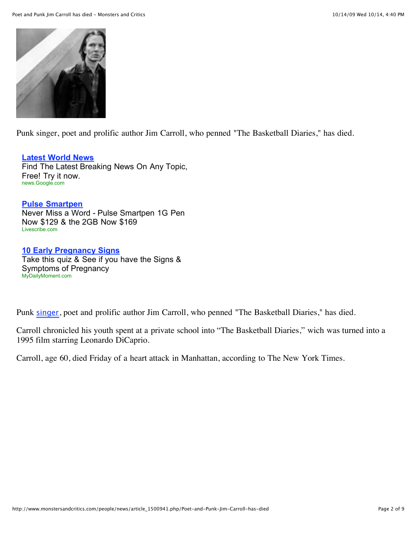

Punk singer, poet and prolific author Jim Carroll, who penned "The Basketball Diaries," has died.

#### **[Latest World News](http://googleads.g.doubleclick.net/aclk?sa=l&ai=BLfYN6zbWSpKyGY7jlQelnMx1kr-7gAGWr8uuDsCNtwHgiRwQARgBILbR9AEoAzgAUIyUuvIHYMnGqYvApNgPoAHG5t34A7IBGnd3dy5tb25zdGVyc2FuZGNyaXRpY3MuY29tugEKMzM2eDI4MF9hc8gBAdoBZGh0dHA6Ly93d3cubW9uc3RlcnNhbmRjcml0aWNzLmNvbS9wZW9wbGUvbmV3cy9hcnRpY2xlXzE1MDA5NDEucGhwL1BvZXQtYW5kLVB1bmstSmltLUNhcnJvbGwtaGFzLWRpZWSoAwHIAwfoA8YE6AMk9QMAAAAE9QMgAAAA&num=1&sig=AGiWqtw3t_L7x3uY212Q-kO501dA1wLqmw&client=ca-pub-3708278364070344&adurl=http://news.google.com/%3Fq%3Dworld%2520news)**

Find The Latest Breaking News On Any Topic, Free! Try it now. news.Google.com

#### **[Pulse Smartpen](http://googleads.g.doubleclick.net/aclk?sa=l&ai=BLiy-6zbWSpKyGY7jlQelnMx10MXhP4Cmvv4MwI23AfDmFxACGAIgttH0ASgDOABQ3bjxmANgycapi8Ck2A-yARp3d3cubW9uc3RlcnNhbmRjcml0aWNzLmNvbboBCjMzNngyODBfYXPIAQHaAWRodHRwOi8vd3d3Lm1vbnN0ZXJzYW5kY3JpdGljcy5jb20vcGVvcGxlL25ld3MvYXJ0aWNsZV8xNTAwOTQxLnBocC9Qb2V0LWFuZC1QdW5rLUppbS1DYXJyb2xsLWhhcy1kaWVkyALSm_cGqAMByAMH6APGBOgDJPUDAAAABPUDIAAAAA&num=2&sig=AGiWqtwsls9akfypGsiRZdF4Mcgzc-_UfA&client=ca-pub-3708278364070344&adurl=http://clickserve.dartsearch.net/link/click%3Flid%3D43000000111182115%26ds_s_kwgid%3D58000000002662721%26ds_e_adid%3D3388951596%26ds_e_matchtype%3Dcontent%26ds_url_v%3D2)**

Never Miss a Word - Pulse Smartpen 1G Pen Now \$129 & the 2GB Now \$169 Livescribe.com

#### **[10 Early Pregnancy Signs](http://googleads.g.doubleclick.net/aclk?sa=l&ai=BsMMh6zbWSpKyGY7jlQelnMx1uKPLZ4z64okO1Kv52Raw2wYQAxgDILbR9AEoAzgAUI-To5YFYMnGqYvApNgPsgEad3d3Lm1vbnN0ZXJzYW5kY3JpdGljcy5jb226AQozMzZ4MjgwX2FzyAEB2gFkaHR0cDovL3d3dy5tb25zdGVyc2FuZGNyaXRpY3MuY29tL3Blb3BsZS9uZXdzL2FydGljbGVfMTUwMDk0MS5waHAvUG9ldC1hbmQtUHVuay1KaW0tQ2Fycm9sbC1oYXMtZGllZMACBKgDAcgDB-gDxgToAyT1AwAAAAT1AyAAAAA&num=3&sig=AGiWqtwEUAIzjBH-ukGBk2JhzkKj9wrAOA&client=ca-pub-3708278364070344&adurl=http://www.mydailymoment.com/app/quiz/userquiz/takequiz/300%3Futm_source%3DDHTMLgoogle-cheating-partner-cat-186pregnancy%26utm_medium%3Dpregnancy-22%26utm_term%3D%26utm_content%3Dquiz%26utm_campaign%3DMULTI)**

Take this quiz & See if you have the Signs & Symptoms of Pregnancy MyDailyMoment.com

Punk [singer](http://www.monstersandcritics.com/people/news/article_1500941.php/Poet-and-Punk-Jim-Carroll-has-died#), poet and prolific author Jim Carroll, who penned "The Basketball Diaries," has died.

Carroll chronicled his youth spent at a private school into "The Basketball Diaries," wich was turned into a 1995 film starring Leonardo DiCaprio.

Carroll, age 60, died Friday of a heart attack in Manhattan, according to The New York Times.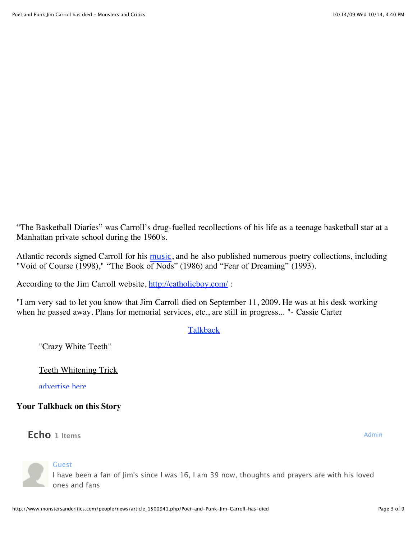"The Basketball Diaries" was Carroll's drug-fuelled recollections of his life as a teenage basketball star at a Manhattan private school during the 1960's.

Atlantic records signed Carroll for his [music](http://www.monstersandcritics.com/people/news/article_1500941.php/Poet-and-Punk-Jim-Carroll-has-died#), and he also published numerous poetry collections, including "Void of Course (1998)," "The Book of Nods" (1986) and "Fear of Dreaming" (1993).

According to the Jim Carroll website, http://catholicboy.com/:

"I am very sad to let you know that Jim Carroll died on September 11, 2009. He was at his desk working when he passed away. Plans for memorial services, etc., are still in progress... "- Cassie Carter

**[Talkback](http://www.monstersandcritics.com/people/news/article_1500941.php/Poet-and-Punk-Jim-Carroll-has-died#comments)** 

"Crazy White Teeth"

Teeth Whitening Trick

[advertise here](http://redir.doclix.com/adserver/redir/adside.jsp?src=Advertise_Here_4)

**Your Talkback on this Story**

**Echo** 1 Items Admin



**Guest** 

I have been a fan of Jim's since I was 16, I am 39 now, thoughts and prayers are with his loved ones and fans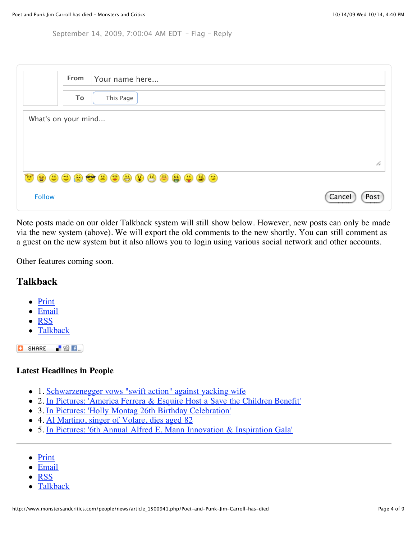September 14, 2009, 7:00:04 AM EDT – [Flag](javascript:void(0);) – [Reply](javascript:void(0);)

|                     | From | Your name here |                |  |
|---------------------|------|----------------|----------------|--|
|                     | To   | This Page      |                |  |
| What's on your mind |      |                |                |  |
|                     |      |                |                |  |
|                     |      |                | bo             |  |
| <b></b>             |      |                |                |  |
| <b>Follow</b>       |      |                | Cancel<br>Post |  |

Note posts made on our older Talkback system will still show below. However, new posts can only be made via the new system (above). We will export the old comments to the new shortly. You can still comment as a guest on the new system but it also allows you to login using various social network and other accounts.

Other features coming soon.

### **Talkback**

- [Print](http://www.monstersandcritics.com/people/news/printer_1500941.php)
- $\bullet$  [Email](mailto:?subject=Poet+and+Punk+Jim+Carroll+has+died&body=http%3A%2F%2Fwww.monstersandcritics.com%2Fpeople%2Fnews%2Farticle_1500941.php%2FPoet-and-Punk-Jim-Carroll-has-died)
- [RSS](http://feeds.feedburner.com/monstersandcritics/people)
- [Talkback](http://www.monstersandcritics.com/people/news/article_1500941.php/Poet-and-Punk-Jim-Carroll-has-died#talkback)

**SHARE**  $\blacksquare$   $\Omega$   $\blacksquare$ 

#### **Latest Headlines in People**

- 1. [Schwarzenegger vows "swift action" against yacking wife](http://www.monstersandcritics.com/people/news/article_1507117.php/Schwarzenegger-vows-swift-action-against-yacking-wife)
- 2. [In Pictures: 'America Ferrera & Esquire Host a Save the Children Benefit'](http://www.monstersandcritics.com/people/features/article_1507118.php/In-Pictures-America-Ferrera-&-Esquire-Host-a-Save-the-Children-Benefit)
- 3. [In Pictures: 'Holly Montag 26th Birthday Celebration'](http://www.monstersandcritics.com/people/features/article_1507115.php/In-Pictures-Holly-Montag-26th-Birthday-Celebration)
- 4. [Al Martino, singer of Volare, dies aged 82](http://www.monstersandcritics.com/people/news/article_1507104.php/Al-Martino-singer-of-Volare-dies-aged-82)
- 5. [In Pictures: '6th Annual Alfred E. Mann Innovation & Inspiration Gala'](http://www.monstersandcritics.com/people/features/article_1507100.php/In-Pictures-6th-Annual-Alfred-E-Mann-Innovation-&-Inspiration-Gala)
- [Print](http://www.monstersandcritics.com/people/news/printer_1500941.php)
- [Email](mailto:?subject=Poet+and+Punk+Jim+Carroll+has+died&body=http%3A%2F%2Fwww.monstersandcritics.com%2Fpeople%2Fnews%2Farticle_1500941.php%2FPoet-and-Punk-Jim-Carroll-has-died)
- [RSS](http://feeds.feedburner.com/monstersandcritics/people)
- [Talkback](http://www.monstersandcritics.com/people/news/article_1500941.php/Poet-and-Punk-Jim-Carroll-has-died#comments)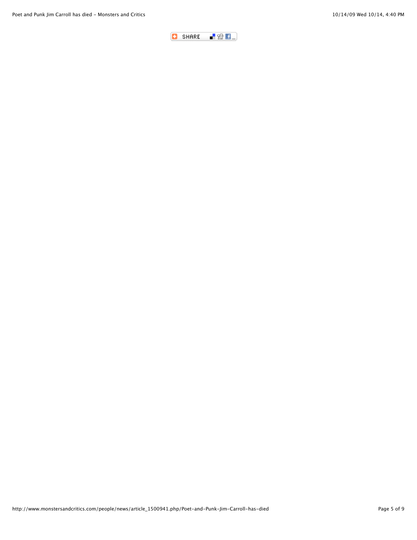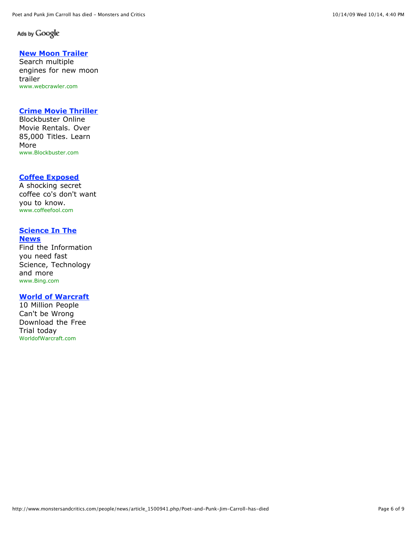#### Ads by Google

#### **[New Moon Trailer](http://googleads.g.doubleclick.net/aclk?sa=l&ai=BCZNv7DbWSsaAG5njlQfb_v3-D_eEmokB0dqmlQ7AjbcB0IYDEAEYBSC20fQBKAU4AFD6jaCH_f____8BYMnGqYvApNgPsgEad3d3Lm1vbnN0ZXJzYW5kY3JpdGljcy5jb226AQoxNjB4NjAwX2FzyAEB2gFkaHR0cDovL3d3dy5tb25zdGVyc2FuZGNyaXRpY3MuY29tL3Blb3BsZS9uZXdzL2FydGljbGVfMTUwMDk0MS5waHAvUG9ldC1hbmQtUHVuay1KaW0tQ2Fycm9sbC1oYXMtZGllZOABAsgCpYWfDqgDAcgDB-gDxgToAyT1AwAAAAT1AyAAAAA&num=5&sig=AGiWqtywyicZ9kaDJez-Rvcl1tCaoHdCyw&client=ca-pub-3708278364070344&adurl=http://www.webcrawler.com/webcrawler303/ws/results/Web/new%2Bmoon%2Btrailer/1/417/TopNavigation/Relevance/iq%3Dtrue/zoom%3Doff/_iceUrlFlag%3D7%3F_IceUrl%3Dtrue)**

Search multiple engines for new moon trailer www.webcrawler.com

#### **[Crime Movie Thriller](http://googleads.g.doubleclick.net/aclk?sa=l&ai=Bju5h7DbWSsaAG5njlQfb_v3-D-WYoZsBwffW0AnAjbcBsL0QEAIYBiC20fQBKAU4AFCn2p_KBGDJxqmLwKTYD6ABh7_x_AOyARp3d3cubW9uc3RlcnNhbmRjcml0aWNzLmNvbboBCjE2MHg2MDBfYXPIAQHaAWRodHRwOi8vd3d3Lm1vbnN0ZXJzYW5kY3JpdGljcy5jb20vcGVvcGxlL25ld3MvYXJ0aWNsZV8xNTAwOTQxLnBocC9Qb2V0LWFuZC1QdW5rLUppbS1DYXJyb2xsLWhhcy1kaWVk4AECgAIByALZnogFqAMByAMH6APGBOgDJPUDAAAABPUDIAAAAA&num=6&ggladgrp=14040384846002526073&gglcreat=5895113705003892207&sig=AGiWqtwS8XQFvUxesXFDfGS4N87uzbqAJQ&client=ca-pub-3708278364070344&adurl=https://www.blockbuster.com/aff/p.26722/r.crime_movie_thriller/%3Fsrc%3Dgoogle)**

Blockbuster Online Movie Rentals. Over 85,000 Titles. Learn More www.Blockbuster.com

#### **[Coffee Exposed](http://googleads.g.doubleclick.net/aclk?sa=l&ai=BVhw87DbWSsaAG5njlQfb_v3-D_nEvKABzZ6S3gPAjbcBoI0GEAMYByC20fQBKAU4AFD9rKCQ_f____8BYMnGqYvApNgPsgEad3d3Lm1vbnN0ZXJzYW5kY3JpdGljcy5jb226AQoxNjB4NjAwX2FzyAEB2gFkaHR0cDovL3d3dy5tb25zdGVyc2FuZGNyaXRpY3MuY29tL3Blb3BsZS9uZXdzL2FydGljbGVfMTUwMDk0MS5waHAvUG9ldC1hbmQtUHVuay1KaW0tQ2Fycm9sbC1oYXMtZGllZOABAoACAagDAcgDB-gDxgToAyT1AwAAAAT1AyAAAAA&num=7&sig=AGiWqtzGJkM94Pj6JISVvfQxhgEKX9YDig&client=ca-pub-3708278364070344&adurl=http://www.coffeefool.com)**

A shocking secret coffee co's don't want you to know. www.coffeefool.com

#### **[Science In The](http://googleads.g.doubleclick.net/aclk?sa=l&ai=Bj1bU7DbWSsaAG5njlQfb_v3-D4Lwp4cBlKiZoArAjbcBoI0GEAQYCCC20fQBKAU4AFCTy5lnYMnGqYvApNgPsgEad3d3Lm1vbnN0ZXJzYW5kY3JpdGljcy5jb226AQoxNjB4NjAwX2FzyAEB2gFkaHR0cDovL3d3dy5tb25zdGVyc2FuZGNyaXRpY3MuY29tL3Blb3BsZS9uZXdzL2FydGljbGVfMTUwMDk0MS5waHAvUG9ldC1hbmQtUHVuay1KaW0tQ2Fycm9sbC1oYXMtZGllZOABAsgChJb1CKgDAcgDB-gDxgToAyT1AwAAAAT1AyAAAAA&num=8&sig=AGiWqtzIpTpCYICSjOYe8Vmr1ZSndrJgTg&client=ca-pub-3708278364070344&adurl=http://www.Bing.com/news/search%3Fq%3Dtechnology%26FORM%3DMFENWS%26PUBL%3DGoogle%26CREA%3Duserid1743b7a7e4d816d75313206dd5ca534df70ec) News**

Find the Information you need fast Science, Technology and more www.Bing.com

#### **[World of Warcraft](http://googleads.g.doubleclick.net/aclk?sa=l&ai=Bx4Al7DbWSsaAG5njlQfb_v3-D9KFg40BtvGf5ATAjbcBsMwLEAUYCSC20fQBKAU4AFCPzPmiBmDJxqmLwKTYD6ABqsC9_AOyARp3d3cubW9uc3RlcnNhbmRjcml0aWNzLmNvbboBCjE2MHg2MDBfYXPIAQHaAWRodHRwOi8vd3d3Lm1vbnN0ZXJzYW5kY3JpdGljcy5jb20vcGVvcGxlL25ld3MvYXJ0aWNsZV8xNTAwOTQxLnBocC9Qb2V0LWFuZC1QdW5rLUppbS1DYXJyb2xsLWhhcy1kaWVk4AECgAIByALGyr4IqAMByAMH6APGBOgDJPUDAAAABPUDIAAAAA&num=9&sig=AGiWqtw4XlJ2ToPIBra6-zhjjPkNztTwAA&client=ca-pub-3708278364070344&adurl=https://signup.worldofwarcraft.com/landing.html%3Freferral%3DGoogleB)**

10 Million People Can't be Wrong Download the Free Trial today WorldofWarcraft.com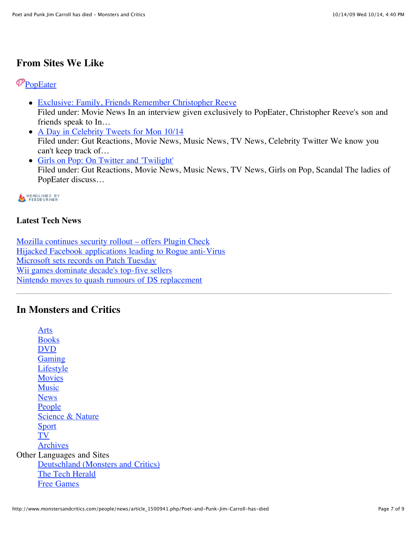## **From Sites We Like**

## **P**[PopEater](http://www.popeater.com/)

- [Exclusive: Family, Friends Remember Christopher Reeve](http://www.popeater.com/2009/10/14/christopher-reeve-tribute/) Filed under: Movie News In an interview given exclusively to PopEater, Christopher Reeve's son and friends speak to In…
- [A Day in Celebrity Tweets for Mon 10/14](http://www.popeater.com/2009/10/14/celebrity-twitters/) Filed under: Gut Reactions, Movie News, Music News, TV News, Celebrity Twitter We know you can't keep track of…
- [Girls on Pop: On Twitter and 'Twilight'](http://www.popeater.com/2009/10/14/lindsay-lohan-twilight-leighton-meester/) Filed under: Gut Reactions, Movie News, Music News, TV News, Girls on Pop, Scandal The ladies of PopEater discuss…

## HEADLINES BY<br>FEEDBURNER

### **Latest Tech News**

[Mozilla continues security rollout – offers Plugin Check](http://www.thetechherald.com/article.php/200942/4616/Mozilla-continues-security-rollout-%E2%80%93-offers-Plugin-Check) [Hijacked Facebook applications leading to Rogue anti-Virus](http://www.thetechherald.com/article.php/200942/4615/Hijacked-Facebook-applications-leading-to-Rogue-anti-Virus) [Microsoft sets records on Patch Tuesday](http://www.thetechherald.com/article.php/200942/4609/Microsoft-sets-records-on-Patch-Tuesday) [Wii games dominate decade's top-five sellers](http://www.thetechherald.com/article.php/200942/4614/Wii-games-dominate-decade-s-top-five-sellers) [Nintendo moves to quash rumours of DS replacement](http://www.thetechherald.com/article.php/200942/4613/Nintendo-moves-to-quash-rumours-of-DS-replacement)

## **In Monsters and Critics**

[Arts](http://www.monstersandcritics.com/arts/) [Books](http://www.monstersandcritics.com/books/) [DVD](http://www.monstersandcritics.com/dvd/) [Gaming](http://www.monstersandcritics.com/gaming/) [Lifestyle](http://www.monstersandcritics.com/lifestyle/) **[Movies](http://www.monstersandcritics.com/movies/)** [Music](http://www.monstersandcritics.com/music/) **[News](http://www.monstersandcritics.com/news/)** [People](http://www.monstersandcritics.com/people/) [Science & Nature](http://www.monstersandcritics.com/science/) **[Sport](http://www.monstersandcritics.com/sport/)** [TV](http://www.monstersandcritics.com/smallscreen/) [Archives](http://www.monstersandcritics.com/archive/) Other Languages and Sites [Deutschland \(Monsters and Critics\)](http://www.monstersandcritics.de/) [The Tech Herald](http://www.thetechherald.com/) [Free Games](http://www.freegamesherald.com/)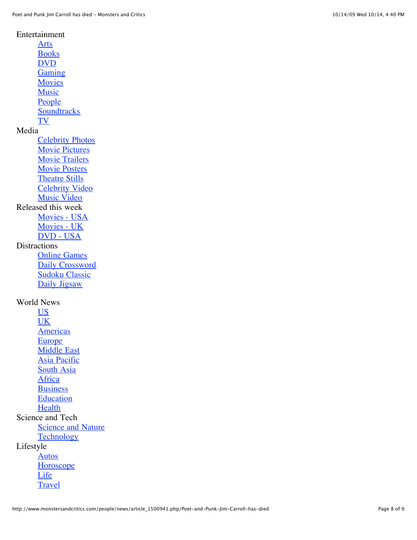Entertainment

[Arts](http://www.monstersandcritics.com/arts/) **[Books](http://www.monstersandcritics.com/books/)** [DVD](http://www.monstersandcritics.com/dvd/) **[Gaming](http://www.monstersandcritics.com/gaming/) [Movies](http://www.monstersandcritics.com/movies/)** [Music](http://www.monstersandcritics.com/music/) [People](http://www.monstersandcritics.com/people/) **[Soundtracks](http://www.monstersandcritics.com/soundtracks/)** [TV](http://www.monstersandcritics.com/smallscreen/) Media [Celebrity Photos](http://www.monstersandcritics.com/people/photos/) [Movie Pictures](http://www.monstersandcritics.com/movies/moviepictures/movie-pictures.php) [Movie Trailers](http://www.monstersandcritics.com/movies/trailers/) [Movie Posters](http://www.monstersandcritics.com/movies/posters/) [Theatre Stills](http://www.monstersandcritics.com/arts/theatre/photos/) [Celebrity Video](http://www.monstersandcritics.com/people/celebrity_video.php) [Music Video](http://www.monstersandcritics.com/music/music_videos.php) Released this week [Movies - USA](http://www.monstersandcritics.com/movies/release_dates_us/) [Movies - UK](http://www.monstersandcritics.com/movies/release_dates_uk/) [DVD - USA](http://www.monstersandcritics.com/dvd/release_dates_us/) **Distractions** [Online Games](http://onlinegames.monstersandcritics.com/) [Daily Crossword](http://www.monstersandcritics.com/crossword/) [Sudoku Classic](http://www.monstersandcritics.com/sudoku/) [Daily Jigsaw](http://www.monstersandcritics.com/jigsaw/) World News [US](http://www.monstersandcritics.com/news/usa/) [UK](http://www.monstersandcritics.com/news/uk/) **[Americas](http://www.monstersandcritics.com/news/americas/) [Europe](http://www.monstersandcritics.com/news/europe/)** [Middle East](http://www.monstersandcritics.com/news/middleeast/) [Asia Pacific](http://www.monstersandcritics.com/news/asiapacific/) [South Asia](http://www.monstersandcritics.com/news/southasia/) **[Africa](http://www.monstersandcritics.com/news/africa/) [Business](http://www.monstersandcritics.com/news/business/)** [Education](http://www.monstersandcritics.com/news/education/) **[Health](http://www.monstersandcritics.com/news/health/)** Science and Tech **[Science and Nature](http://www.monstersandcritics.com/science/)** [Technology](http://www.monstersandcritics.com/tech/)

Lifestyle

[Autos](http://www.monstersandcritics.com/lifestyle/autos/) **[Horoscope](http://www.monstersandcritics.com/lifestyle/autos/)** [Life](http://www.monstersandcritics.com/lifestyle/life/) **[Travel](http://www.monstersandcritics.com/lifestyle/travel/)**